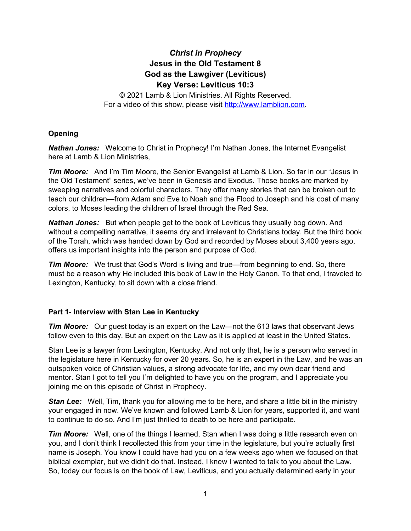# *Christ in Prophecy* **Jesus in the Old Testament 8 God as the Lawgiver (Leviticus) Key Verse: Leviticus 10:3**

© 2021 Lamb & Lion Ministries. All Rights Reserved. For a video of this show, please visit [http://www.lamblion.com.](http://www.lamblion.com/)

# **Opening**

*Nathan Jones:* Welcome to Christ in Prophecy! I'm Nathan Jones, the Internet Evangelist here at Lamb & Lion Ministries,

*Tim Moore:* And I'm Tim Moore, the Senior Evangelist at Lamb & Lion. So far in our "Jesus in the Old Testament" series, we've been in Genesis and Exodus. Those books are marked by sweeping narratives and colorful characters. They offer many stories that can be broken out to teach our children—from Adam and Eve to Noah and the Flood to Joseph and his coat of many colors, to Moses leading the children of Israel through the Red Sea.

*Nathan Jones:* But when people get to the book of Leviticus they usually bog down. And without a compelling narrative, it seems dry and irrelevant to Christians today. But the third book of the Torah, which was handed down by God and recorded by Moses about 3,400 years ago, offers us important insights into the person and purpose of God.

*Tim Moore:* We trust that God's Word is living and true—from beginning to end. So, there must be a reason why He included this book of Law in the Holy Canon. To that end, I traveled to Lexington, Kentucky, to sit down with a close friend.

# **Part 1- Interview with Stan Lee in Kentucky**

*Tim Moore:* Our quest today is an expert on the Law—not the 613 laws that observant Jews follow even to this day. But an expert on the Law as it is applied at least in the United States.

Stan Lee is a lawyer from Lexington, Kentucky. And not only that, he is a person who served in the legislature here in Kentucky for over 20 years. So, he is an expert in the Law, and he was an outspoken voice of Christian values, a strong advocate for life, and my own dear friend and mentor. Stan I got to tell you I'm delighted to have you on the program, and I appreciate you joining me on this episode of Christ in Prophecy.

*Stan Lee:* Well, Tim, thank you for allowing me to be here, and share a little bit in the ministry your engaged in now. We've known and followed Lamb & Lion for years, supported it, and want to continue to do so. And I'm just thrilled to death to be here and participate.

*Tim Moore:* Well, one of the things I learned, Stan when I was doing a little research even on you, and I don't think I recollected this from your time in the legislature, but you're actually first name is Joseph. You know I could have had you on a few weeks ago when we focused on that biblical exemplar, but we didn't do that. Instead, I knew I wanted to talk to you about the Law. So, today our focus is on the book of Law, Leviticus, and you actually determined early in your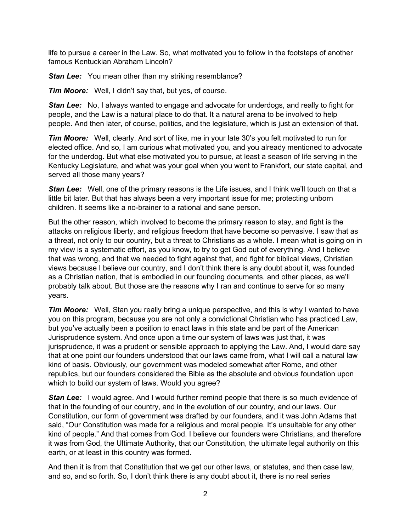life to pursue a career in the Law. So, what motivated you to follow in the footsteps of another famous Kentuckian Abraham Lincoln?

*Stan Lee:* You mean other than my striking resemblance?

*Tim Moore:* Well, I didn't say that, but yes, of course.

**Stan Lee:** No, I always wanted to engage and advocate for underdogs, and really to fight for people, and the Law is a natural place to do that. It a natural arena to be involved to help people. And then later, of course, politics, and the legislature, which is just an extension of that.

*Tim Moore:* Well, clearly. And sort of like, me in your late 30's you felt motivated to run for elected office. And so, I am curious what motivated you, and you already mentioned to advocate for the underdog. But what else motivated you to pursue, at least a season of life serving in the Kentucky Legislature, and what was your goal when you went to Frankfort, our state capital, and served all those many years?

*Stan Lee:* Well, one of the primary reasons is the Life issues, and I think we'll touch on that a little bit later. But that has always been a very important issue for me; protecting unborn children. It seems like a no-brainer to a rational and sane person.

But the other reason, which involved to become the primary reason to stay, and fight is the attacks on religious liberty, and religious freedom that have become so pervasive. I saw that as a threat, not only to our country, but a threat to Christians as a whole. I mean what is going on in my view is a systematic effort, as you know, to try to get God out of everything. And I believe that was wrong, and that we needed to fight against that, and fight for biblical views, Christian views because I believe our country, and I don't think there is any doubt about it, was founded as a Christian nation, that is embodied in our founding documents, and other places, as we'll probably talk about. But those are the reasons why I ran and continue to serve for so many years.

*Tim Moore:* Well, Stan you really bring a unique perspective, and this is why I wanted to have you on this program, because you are not only a convictional Christian who has practiced Law, but you've actually been a position to enact laws in this state and be part of the American Jurisprudence system. And once upon a time our system of laws was just that, it was jurisprudence, it was a prudent or sensible approach to applying the Law. And, I would dare say that at one point our founders understood that our laws came from, what I will call a natural law kind of basis. Obviously, our government was modeled somewhat after Rome, and other republics, but our founders considered the Bible as the absolute and obvious foundation upon which to build our system of laws. Would you agree?

**Stan Lee:** I would agree. And I would further remind people that there is so much evidence of that in the founding of our country, and in the evolution of our country, and our laws. Our Constitution, our form of government was drafted by our founders, and it was John Adams that said, "Our Constitution was made for a religious and moral people. It's unsuitable for any other kind of people." And that comes from God. I believe our founders were Christians, and therefore it was from God, the Ultimate Authority, that our Constitution, the ultimate legal authority on this earth, or at least in this country was formed.

And then it is from that Constitution that we get our other laws, or statutes, and then case law, and so, and so forth. So, I don't think there is any doubt about it, there is no real series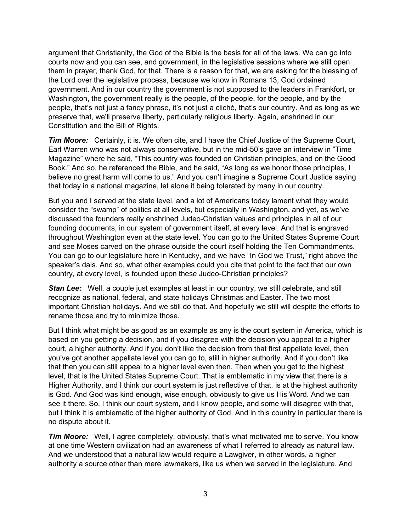argument that Christianity, the God of the Bible is the basis for all of the laws. We can go into courts now and you can see, and government, in the legislative sessions where we still open them in prayer, thank God, for that. There is a reason for that, we are asking for the blessing of the Lord over the legislative process, because we know in Romans 13, God ordained government. And in our country the government is not supposed to the leaders in Frankfort, or Washington, the government really is the people, of the people, for the people, and by the people, that's not just a fancy phrase, it's not just a cliché, that's our country. And as long as we preserve that, we'll preserve liberty, particularly religious liberty. Again, enshrined in our Constitution and the Bill of Rights.

**Tim Moore:** Certainly, it is. We often cite, and I have the Chief Justice of the Supreme Court, Earl Warren who was not always conservative, but in the mid-50's gave an interview in "Time Magazine" where he said, "This country was founded on Christian principles, and on the Good Book." And so, he referenced the Bible, and he said, "As long as we honor those principles, I believe no great harm will come to us." And you can't imagine a Supreme Court Justice saying that today in a national magazine, let alone it being tolerated by many in our country.

But you and I served at the state level, and a lot of Americans today lament what they would consider the "swamp" of politics at all levels, but especially in Washington, and yet, as we've discussed the founders really enshrined Judeo-Christian values and principles in all of our founding documents, in our system of government itself, at every level. And that is engraved throughout Washington even at the state level. You can go to the United States Supreme Court and see Moses carved on the phrase outside the court itself holding the Ten Commandments. You can go to our legislature here in Kentucky, and we have "In God we Trust," right above the speaker's dais. And so, what other examples could you cite that point to the fact that our own country, at every level, is founded upon these Judeo-Christian principles?

**Stan Lee:** Well, a couple just examples at least in our country, we still celebrate, and still recognize as national, federal, and state holidays Christmas and Easter. The two most important Christian holidays. And we still do that. And hopefully we still will despite the efforts to rename those and try to minimize those.

But I think what might be as good as an example as any is the court system in America, which is based on you getting a decision, and if you disagree with the decision you appeal to a higher court, a higher authority. And if you don't like the decision from that first appellate level, then you've got another appellate level you can go to, still in higher authority. And if you don't like that then you can still appeal to a higher level even then. Then when you get to the highest level, that is the United States Supreme Court. That is emblematic in my view that there is a Higher Authority, and I think our court system is just reflective of that, is at the highest authority is God. And God was kind enough, wise enough, obviously to give us His Word. And we can see it there. So, I think our court system, and I know people, and some will disagree with that, but I think it is emblematic of the higher authority of God. And in this country in particular there is no dispute about it.

*Tim Moore:* Well, I agree completely, obviously, that's what motivated me to serve. You know at one time Western civilization had an awareness of what I referred to already as natural law. And we understood that a natural law would require a Lawgiver, in other words, a higher authority a source other than mere lawmakers, like us when we served in the legislature. And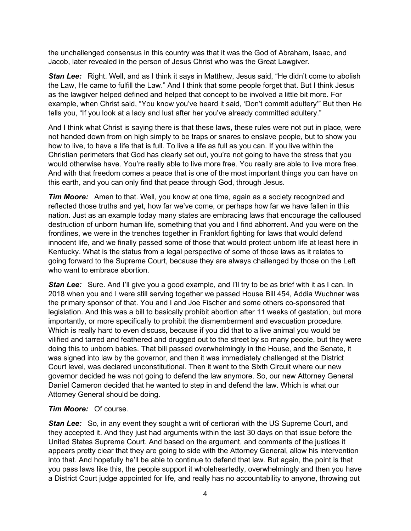the unchallenged consensus in this country was that it was the God of Abraham, Isaac, and Jacob, later revealed in the person of Jesus Christ who was the Great Lawgiver.

*Stan Lee:* Right. Well, and as I think it says in Matthew, Jesus said, "He didn't come to abolish the Law, He came to fulfill the Law." And I think that some people forget that. But I think Jesus as the lawgiver helped defined and helped that concept to be involved a little bit more. For example, when Christ said, "You know you've heard it said, 'Don't commit adultery'" But then He tells you, "If you look at a lady and lust after her you've already committed adultery."

And I think what Christ is saying there is that these laws, these rules were not put in place, were not handed down from on high simply to be traps or snares to enslave people, but to show you how to live, to have a life that is full. To live a life as full as you can. If you live within the Christian perimeters that God has clearly set out, you're not going to have the stress that you would otherwise have. You're really able to live more free. You really are able to live more free. And with that freedom comes a peace that is one of the most important things you can have on this earth, and you can only find that peace through God, through Jesus.

*Tim Moore:* Amen to that. Well, you know at one time, again as a society recognized and reflected those truths and yet, how far we've come, or perhaps how far we have fallen in this nation. Just as an example today many states are embracing laws that encourage the calloused destruction of unborn human life, something that you and I find abhorrent. And you were on the frontlines, we were in the trenches together in Frankfort fighting for laws that would defend innocent life, and we finally passed some of those that would protect unborn life at least here in Kentucky. What is the status from a legal perspective of some of those laws as it relates to going forward to the Supreme Court, because they are always challenged by those on the Left who want to embrace abortion.

**Stan Lee:** Sure. And I'll give you a good example, and I'll try to be as brief with it as I can. In 2018 when you and I were still serving together we passed House Bill 454, Addia Wuchner was the primary sponsor of that. You and I and Joe Fischer and some others co-sponsored that legislation. And this was a bill to basically prohibit abortion after 11 weeks of gestation, but more importantly, or more specifically to prohibit the dismemberment and evacuation procedure. Which is really hard to even discuss, because if you did that to a live animal you would be vilified and tarred and feathered and drugged out to the street by so many people, but they were doing this to unborn babies. That bill passed overwhelmingly in the House, and the Senate, it was signed into law by the governor, and then it was immediately challenged at the District Court level, was declared unconstitutional. Then it went to the Sixth Circuit where our new governor decided he was not going to defend the law anymore. So, our new Attorney General Daniel Cameron decided that he wanted to step in and defend the law. Which is what our Attorney General should be doing.

#### *Tim Moore:* Of course.

**Stan Lee:** So, in any event they sought a writ of certiorari with the US Supreme Court, and they accepted it. And they just had arguments within the last 30 days on that issue before the United States Supreme Court. And based on the argument, and comments of the justices it appears pretty clear that they are going to side with the Attorney General, allow his intervention into that. And hopefully he'll be able to continue to defend that law. But again, the point is that you pass laws like this, the people support it wholeheartedly, overwhelmingly and then you have a District Court judge appointed for life, and really has no accountability to anyone, throwing out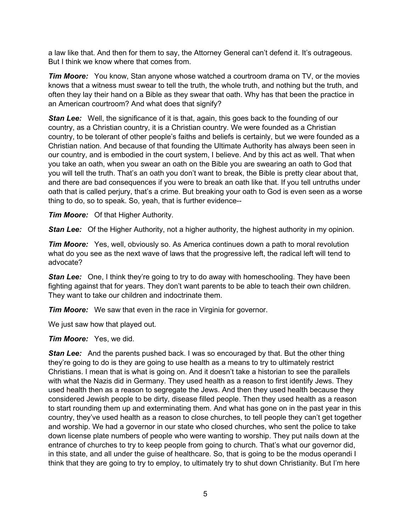a law like that. And then for them to say, the Attorney General can't defend it. It's outrageous. But I think we know where that comes from.

*Tim Moore:* You know, Stan anyone whose watched a courtroom drama on TV, or the movies knows that a witness must swear to tell the truth, the whole truth, and nothing but the truth, and often they lay their hand on a Bible as they swear that oath. Why has that been the practice in an American courtroom? And what does that signify?

**Stan Lee:** Well, the significance of it is that, again, this goes back to the founding of our country, as a Christian country, it is a Christian country. We were founded as a Christian country, to be tolerant of other people's faiths and beliefs is certainly, but we were founded as a Christian nation. And because of that founding the Ultimate Authority has always been seen in our country, and is embodied in the court system, I believe. And by this act as well. That when you take an oath, when you swear an oath on the Bible you are swearing an oath to God that you will tell the truth. That's an oath you don't want to break, the Bible is pretty clear about that, and there are bad consequences if you were to break an oath like that. If you tell untruths under oath that is called perjury, that's a crime. But breaking your oath to God is even seen as a worse thing to do, so to speak. So, yeah, that is further evidence--

*Tim Moore:* Of that Higher Authority.

*Stan Lee:* Of the Higher Authority, not a higher authority, the highest authority in my opinion.

*Tim Moore:* Yes, well, obviously so. As America continues down a path to moral revolution what do you see as the next wave of laws that the progressive left, the radical left will tend to advocate?

*Stan Lee:* One, I think they're going to try to do away with homeschooling. They have been fighting against that for years. They don't want parents to be able to teach their own children. They want to take our children and indoctrinate them.

*Tim Moore:* We saw that even in the race in Virginia for governor.

We just saw how that played out.

*Tim Moore:* Yes, we did.

**Stan Lee:** And the parents pushed back. I was so encouraged by that. But the other thing they're going to do is they are going to use health as a means to try to ultimately restrict Christians. I mean that is what is going on. And it doesn't take a historian to see the parallels with what the Nazis did in Germany. They used health as a reason to first identify Jews. They used health then as a reason to segregate the Jews. And then they used health because they considered Jewish people to be dirty, disease filled people. Then they used health as a reason to start rounding them up and exterminating them. And what has gone on in the past year in this country, they've used health as a reason to close churches, to tell people they can't get together and worship. We had a governor in our state who closed churches, who sent the police to take down license plate numbers of people who were wanting to worship. They put nails down at the entrance of churches to try to keep people from going to church. That's what our governor did, in this state, and all under the guise of healthcare. So, that is going to be the modus operandi I think that they are going to try to employ, to ultimately try to shut down Christianity. But I'm here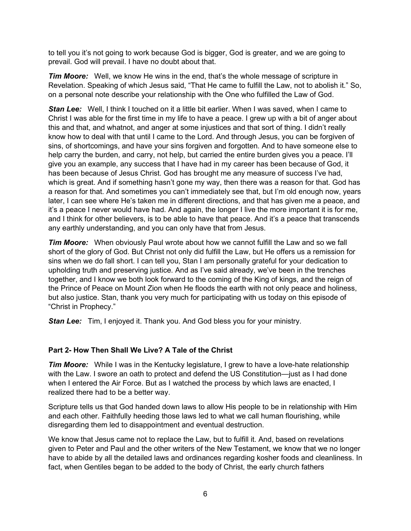to tell you it's not going to work because God is bigger, God is greater, and we are going to prevail. God will prevail. I have no doubt about that.

*Tim Moore:* Well, we know He wins in the end, that's the whole message of scripture in Revelation. Speaking of which Jesus said, "That He came to fulfill the Law, not to abolish it." So, on a personal note describe your relationship with the One who fulfilled the Law of God.

**Stan Lee:** Well, I think I touched on it a little bit earlier. When I was saved, when I came to Christ I was able for the first time in my life to have a peace. I grew up with a bit of anger about this and that, and whatnot, and anger at some injustices and that sort of thing. I didn't really know how to deal with that until I came to the Lord. And through Jesus, you can be forgiven of sins, of shortcomings, and have your sins forgiven and forgotten. And to have someone else to help carry the burden, and carry, not help, but carried the entire burden gives you a peace. I'll give you an example, any success that I have had in my career has been because of God, it has been because of Jesus Christ. God has brought me any measure of success I've had, which is great. And if something hasn't gone my way, then there was a reason for that. God has a reason for that. And sometimes you can't immediately see that, but I'm old enough now, years later, I can see where He's taken me in different directions, and that has given me a peace, and it's a peace I never would have had. And again, the longer I live the more important it is for me, and I think for other believers, is to be able to have that peace. And it's a peace that transcends any earthly understanding, and you can only have that from Jesus.

*Tim Moore:* When obviously Paul wrote about how we cannot fulfill the Law and so we fall short of the glory of God. But Christ not only did fulfill the Law, but He offers us a remission for sins when we do fall short. I can tell you, Stan I am personally grateful for your dedication to upholding truth and preserving justice. And as I've said already, we've been in the trenches together, and I know we both look forward to the coming of the King of kings, and the reign of the Prince of Peace on Mount Zion when He floods the earth with not only peace and holiness, but also justice. Stan, thank you very much for participating with us today on this episode of "Christ in Prophecy."

*Stan Lee:* Tim, I enjoyed it. Thank you. And God bless you for your ministry.

# **Part 2- How Then Shall We Live? A Tale of the Christ**

**Tim Moore:** While I was in the Kentucky legislature, I grew to have a love-hate relationship with the Law. I swore an oath to protect and defend the US Constitution—just as I had done when I entered the Air Force. But as I watched the process by which laws are enacted, I realized there had to be a better way.

Scripture tells us that God handed down laws to allow His people to be in relationship with Him and each other. Faithfully heeding those laws led to what we call human flourishing, while disregarding them led to disappointment and eventual destruction.

We know that Jesus came not to replace the Law, but to fulfill it. And, based on revelations given to Peter and Paul and the other writers of the New Testament, we know that we no longer have to abide by all the detailed laws and ordinances regarding kosher foods and cleanliness. In fact, when Gentiles began to be added to the body of Christ, the early church fathers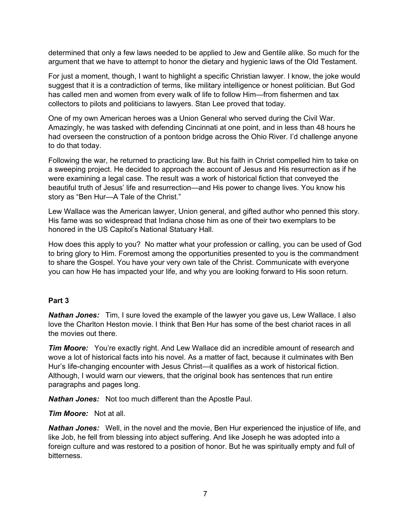determined that only a few laws needed to be applied to Jew and Gentile alike. So much for the argument that we have to attempt to honor the dietary and hygienic laws of the Old Testament.

For just a moment, though, I want to highlight a specific Christian lawyer. I know, the joke would suggest that it is a contradiction of terms, like military intelligence or honest politician. But God has called men and women from every walk of life to follow Him—from fishermen and tax collectors to pilots and politicians to lawyers. Stan Lee proved that today.

One of my own American heroes was a Union General who served during the Civil War. Amazingly, he was tasked with defending Cincinnati at one point, and in less than 48 hours he had overseen the construction of a pontoon bridge across the Ohio River. I'd challenge anyone to do that today.

Following the war, he returned to practicing law. But his faith in Christ compelled him to take on a sweeping project. He decided to approach the account of Jesus and His resurrection as if he were examining a legal case. The result was a work of historical fiction that conveyed the beautiful truth of Jesus' life and resurrection—and His power to change lives. You know his story as "Ben Hur—A Tale of the Christ."

Lew Wallace was the American lawyer, Union general, and gifted author who penned this story. His fame was so widespread that Indiana chose him as one of their two exemplars to be honored in the US Capitol's National Statuary Hall.

How does this apply to you? No matter what your profession or calling, you can be used of God to bring glory to Him. Foremost among the opportunities presented to you is the commandment to share the Gospel. You have your very own tale of the Christ. Communicate with everyone you can how He has impacted your life, and why you are looking forward to His soon return.

#### **Part 3**

*Nathan Jones:* Tim, I sure loved the example of the lawyer you gave us, Lew Wallace. I also love the Charlton Heston movie. I think that Ben Hur has some of the best chariot races in all the movies out there.

*Tim Moore:* You're exactly right. And Lew Wallace did an incredible amount of research and wove a lot of historical facts into his novel. As a matter of fact, because it culminates with Ben Hur's life-changing encounter with Jesus Christ—it qualifies as a work of historical fiction. Although, I would warn our viewers, that the original book has sentences that run entire paragraphs and pages long.

*Nathan Jones:* Not too much different than the Apostle Paul.

*Tim Moore:* Not at all.

*Nathan Jones:* Well, in the novel and the movie, Ben Hur experienced the injustice of life, and like Job, he fell from blessing into abject suffering. And like Joseph he was adopted into a foreign culture and was restored to a position of honor. But he was spiritually empty and full of bitterness.